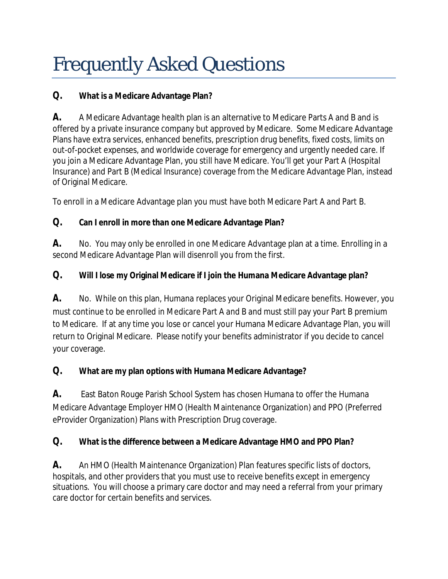## Frequently Asked Questions

**Q. What is a Medicare Advantage Plan?**

**A.** A Medicare Advantage health plan is an alternative to Medicare Parts A and B and is offered by a private insurance company but approved by Medicare. Some Medicare Advantage Plans have extra services, enhanced benefits, prescription drug benefits, fixed costs, limits on out-of-pocket expenses, and worldwide coverage for emergency and urgently needed care. If you join a Medicare Advantage Plan, you still have Medicare. You'll get your Part A (Hospital Insurance) and Part B (Medical Insurance) coverage from the Medicare Advantage Plan, instead of Original Medicare.

To enroll in a Medicare Advantage plan you must have both Medicare Part A and Part B.

**Q. Can I enroll in more than one Medicare Advantage Plan?**

**A.** No. You may only be enrolled in one Medicare Advantage plan at a time. Enrolling in a second Medicare Advantage Plan will disenroll you from the first.

**Q. Will I lose my Original Medicare if I join the Humana Medicare Advantage plan?**

**A.** No. While on this plan, Humana replaces your Original Medicare benefits. However, you must continue to be enrolled in Medicare Part A and B and must still pay your Part B premium to Medicare. If at any time you lose or cancel your Humana Medicare Advantage Plan, you will return to Original Medicare. Please notify your benefits administrator if you decide to cancel your coverage.

**Q. What are my plan options with Humana Medicare Advantage?**

**A.** East Baton Rouge Parish School System has chosen Humana to offer the Humana Medicare Advantage Employer HMO (Health Maintenance Organization) and PPO (Preferred eProvider Organization) Plans with Prescription Drug coverage.

**Q. What is the difference between a Medicare Advantage HMO and PPO Plan?** 

**A.** An HMO (Health Maintenance Organization) Plan features specific lists of doctors, hospitals, and other providers that you must use to receive benefits except in emergency situations. You will choose a primary care doctor and may need a referral from your primary care doctor for certain benefits and services.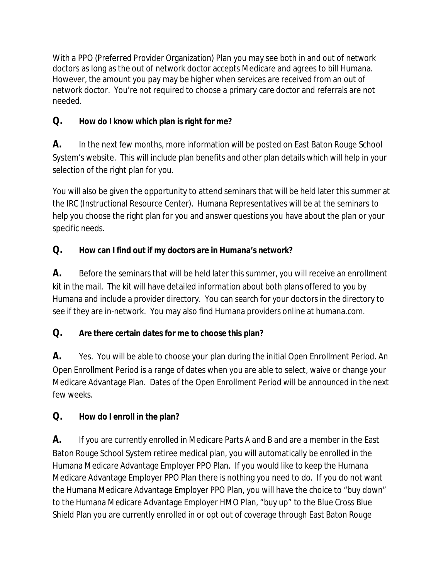With a PPO (Preferred Provider Organization) Plan you may see both in and out of network doctors as long as the out of network doctor accepts Medicare and agrees to bill Humana. However, the amount you pay may be higher when services are received from an out of network doctor. You're not required to choose a primary care doctor and referrals are not needed.

**Q. How do I know which plan is right for me?**

**A.** In the next few months, more information will be posted on East Baton Rouge School System's website. This will include plan benefits and other plan details which will help in your selection of the right plan for you.

You will also be given the opportunity to attend seminars that will be held later this summer at the IRC (Instructional Resource Center). Humana Representatives will be at the seminars to help you choose the right plan for you and answer questions you have about the plan or your specific needs.

**Q. How can I find out if my doctors are in Humana's network?**

**A.** Before the seminars that will be held later this summer, you will receive an enrollment kit in the mail. The kit will have detailed information about both plans offered to you by Humana and include a provider directory. You can search for your doctors in the directory to see if they are in-network. You may also find Humana providers online at humana.com.

**Q. Are there certain dates for me to choose this plan?**

**A.** Yes. You will be able to choose your plan during the initial Open Enrollment Period. An Open Enrollment Period is a range of dates when you are able to select, waive or change your Medicare Advantage Plan. Dates of the Open Enrollment Period will be announced in the next few weeks.

**Q. How do I enroll in the plan?**

**A.** If you are currently enrolled in Medicare Parts A and B and are a member in the East Baton Rouge School System retiree medical plan, you will automatically be enrolled in the Humana Medicare Advantage Employer PPO Plan. If you would like to keep the Humana Medicare Advantage Employer PPO Plan there is nothing you need to do. If you do not want the Humana Medicare Advantage Employer PPO Plan, you will have the choice to "buy down" to the Humana Medicare Advantage Employer HMO Plan, "buy up" to the Blue Cross Blue Shield Plan you are currently enrolled in or opt out of coverage through East Baton Rouge